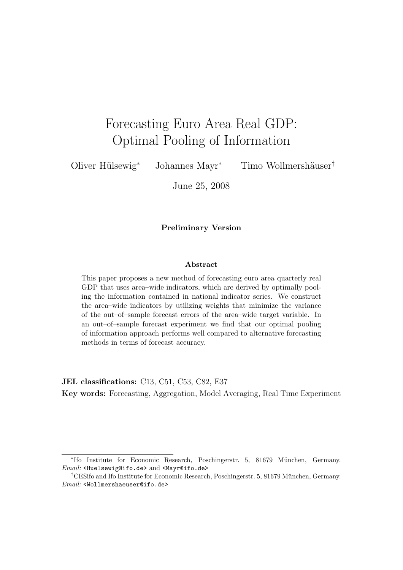# Forecasting Euro Area Real GDP: Optimal Pooling of Information

Oliver Hülsewig<sup>∗</sup> Johannes Mayr<sup>∗</sup> Timo Wollmershäuser<sup>†</sup>

June 25, 2008

#### Preliminary Version

#### Abstract

This paper proposes a new method of forecasting euro area quarterly real GDP that uses area–wide indicators, which are derived by optimally pooling the information contained in national indicator series. We construct the area–wide indicators by utilizing weights that minimize the variance of the out–of–sample forecast errors of the area–wide target variable. In an out–of–sample forecast experiment we find that our optimal pooling of information approach performs well compared to alternative forecasting methods in terms of forecast accuracy.

JEL classifications: C13, C51, C53, C82, E37

Key words: Forecasting, Aggregation, Model Averaging, Real Time Experiment

<sup>∗</sup> Ifo Institute for Economic Research, Poschingerstr. 5, 81679 M¨unchen, Germany. Email: <Huelsewig@ifo.de> and <Mayr@ifo.de>

<sup>&</sup>lt;sup>†</sup>CESifo and Ifo Institute for Economic Research, Poschingerstr. 5, 81679 München, Germany. Email: <Wollmershaeuser@ifo.de>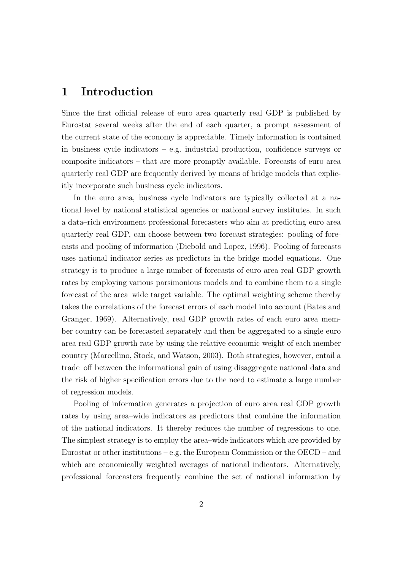# 1 Introduction

Since the first official release of euro area quarterly real GDP is published by Eurostat several weeks after the end of each quarter, a prompt assessment of the current state of the economy is appreciable. Timely information is contained in business cycle indicators – e.g. industrial production, confidence surveys or composite indicators – that are more promptly available. Forecasts of euro area quarterly real GDP are frequently derived by means of bridge models that explicitly incorporate such business cycle indicators.

In the euro area, business cycle indicators are typically collected at a national level by national statistical agencies or national survey institutes. In such a data–rich environment professional forecasters who aim at predicting euro area quarterly real GDP, can choose between two forecast strategies: pooling of forecasts and pooling of information (Diebold and Lopez, 1996). Pooling of forecasts uses national indicator series as predictors in the bridge model equations. One strategy is to produce a large number of forecasts of euro area real GDP growth rates by employing various parsimonious models and to combine them to a single forecast of the area–wide target variable. The optimal weighting scheme thereby takes the correlations of the forecast errors of each model into account (Bates and Granger, 1969). Alternatively, real GDP growth rates of each euro area member country can be forecasted separately and then be aggregated to a single euro area real GDP growth rate by using the relative economic weight of each member country (Marcellino, Stock, and Watson, 2003). Both strategies, however, entail a trade–off between the informational gain of using disaggregate national data and the risk of higher specification errors due to the need to estimate a large number of regression models.

Pooling of information generates a projection of euro area real GDP growth rates by using area–wide indicators as predictors that combine the information of the national indicators. It thereby reduces the number of regressions to one. The simplest strategy is to employ the area–wide indicators which are provided by Eurostat or other institutions – e.g. the European Commission or the OECD – and which are economically weighted averages of national indicators. Alternatively, professional forecasters frequently combine the set of national information by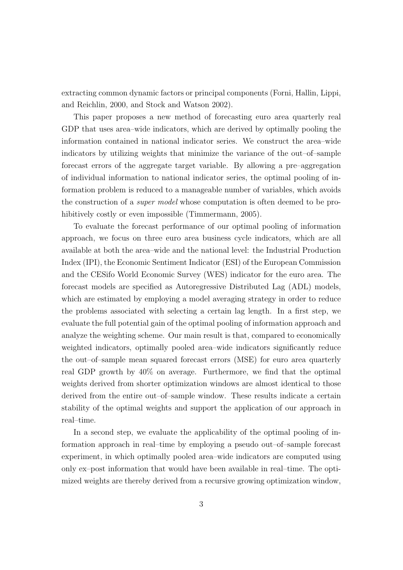extracting common dynamic factors or principal components (Forni, Hallin, Lippi, and Reichlin, 2000, and Stock and Watson 2002).

This paper proposes a new method of forecasting euro area quarterly real GDP that uses area–wide indicators, which are derived by optimally pooling the information contained in national indicator series. We construct the area–wide indicators by utilizing weights that minimize the variance of the out–of–sample forecast errors of the aggregate target variable. By allowing a pre–aggregation of individual information to national indicator series, the optimal pooling of information problem is reduced to a manageable number of variables, which avoids the construction of a *super model* whose computation is often deemed to be prohibitively costly or even impossible (Timmermann, 2005).

To evaluate the forecast performance of our optimal pooling of information approach, we focus on three euro area business cycle indicators, which are all available at both the area–wide and the national level: the Industrial Production Index (IPI), the Economic Sentiment Indicator (ESI) of the European Commission and the CESifo World Economic Survey (WES) indicator for the euro area. The forecast models are specified as Autoregressive Distributed Lag (ADL) models, which are estimated by employing a model averaging strategy in order to reduce the problems associated with selecting a certain lag length. In a first step, we evaluate the full potential gain of the optimal pooling of information approach and analyze the weighting scheme. Our main result is that, compared to economically weighted indicators, optimally pooled area–wide indicators significantly reduce the out–of–sample mean squared forecast errors (MSE) for euro area quarterly real GDP growth by 40% on average. Furthermore, we find that the optimal weights derived from shorter optimization windows are almost identical to those derived from the entire out–of–sample window. These results indicate a certain stability of the optimal weights and support the application of our approach in real–time.

In a second step, we evaluate the applicability of the optimal pooling of information approach in real–time by employing a pseudo out–of–sample forecast experiment, in which optimally pooled area–wide indicators are computed using only ex–post information that would have been available in real–time. The optimized weights are thereby derived from a recursive growing optimization window,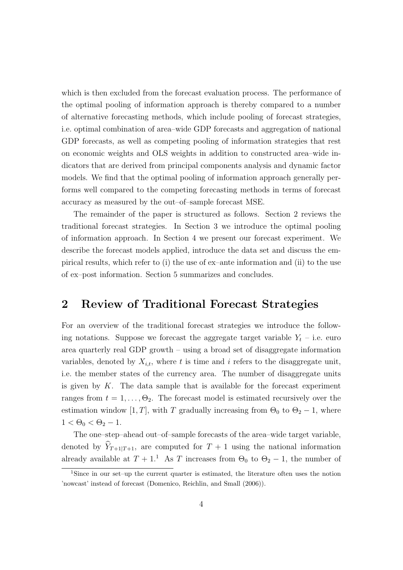which is then excluded from the forecast evaluation process. The performance of the optimal pooling of information approach is thereby compared to a number of alternative forecasting methods, which include pooling of forecast strategies, i.e. optimal combination of area–wide GDP forecasts and aggregation of national GDP forecasts, as well as competing pooling of information strategies that rest on economic weights and OLS weights in addition to constructed area–wide indicators that are derived from principal components analysis and dynamic factor models. We find that the optimal pooling of information approach generally performs well compared to the competing forecasting methods in terms of forecast accuracy as measured by the out–of–sample forecast MSE.

The remainder of the paper is structured as follows. Section 2 reviews the traditional forecast strategies. In Section 3 we introduce the optimal pooling of information approach. In Section 4 we present our forecast experiment. We describe the forecast models applied, introduce the data set and discuss the empirical results, which refer to (i) the use of ex–ante information and (ii) to the use of ex–post information. Section 5 summarizes and concludes.

## 2 Review of Traditional Forecast Strategies

For an overview of the traditional forecast strategies we introduce the following notations. Suppose we forecast the aggregate target variable  $Y_t$  – i.e. euro area quarterly real GDP growth – using a broad set of disaggregate information variables, denoted by  $X_{i,t}$ , where t is time and i refers to the disaggregate unit, i.e. the member states of the currency area. The number of disaggregate units is given by  $K$ . The data sample that is available for the forecast experiment ranges from  $t = 1, \ldots, \Theta_2$ . The forecast model is estimated recursively over the estimation window [1, T], with T gradually increasing from  $\Theta_0$  to  $\Theta_2 - 1$ , where  $1 < \Theta_0 < \Theta_2 - 1.$ 

The one–step–ahead out–of–sample forecasts of the area–wide target variable, denoted by  $\widehat{Y}_{T+1|T+1}$ , are computed for  $T+1$  using the national information already available at  $T + 1$ <sup>1</sup> As T increases from  $\Theta_0$  to  $\Theta_2 - 1$ , the number of

<sup>1</sup>Since in our set–up the current quarter is estimated, the literature often uses the notion 'nowcast' instead of forecast (Domenico, Reichlin, and Small (2006)).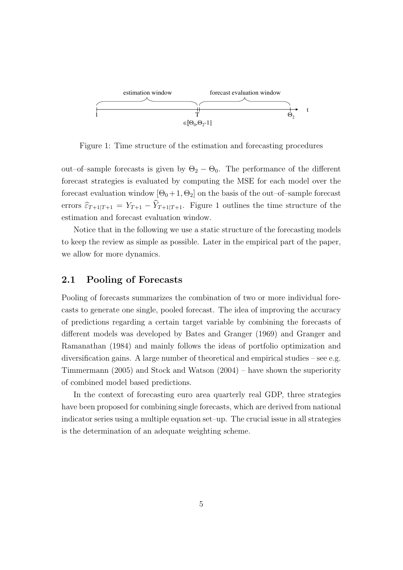

Figure 1: Time structure of the estimation and forecasting procedures

out–of–sample forecasts is given by  $\Theta_2 - \Theta_0$ . The performance of the different forecast strategies is evaluated by computing the MSE for each model over the forecast evaluation window  $[\Theta_0 + 1, \Theta_2]$  on the basis of the out–of–sample forecast errors  $\widehat{\varepsilon}_{T+1|T+1} = Y_{T+1} - \widehat{Y}_{T+1|T+1}$ . Figure 1 outlines the time structure of the estimation and forecast evaluation window.

Notice that in the following we use a static structure of the forecasting models to keep the review as simple as possible. Later in the empirical part of the paper, we allow for more dynamics.

### 2.1 Pooling of Forecasts

Pooling of forecasts summarizes the combination of two or more individual forecasts to generate one single, pooled forecast. The idea of improving the accuracy of predictions regarding a certain target variable by combining the forecasts of different models was developed by Bates and Granger (1969) and Granger and Ramanathan (1984) and mainly follows the ideas of portfolio optimization and diversification gains. A large number of theoretical and empirical studies – see e.g. Timmermann (2005) and Stock and Watson (2004) – have shown the superiority of combined model based predictions.

In the context of forecasting euro area quarterly real GDP, three strategies have been proposed for combining single forecasts, which are derived from national indicator series using a multiple equation set–up. The crucial issue in all strategies is the determination of an adequate weighting scheme.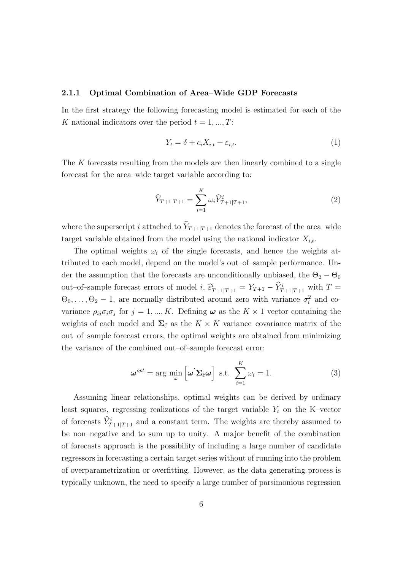#### 2.1.1 Optimal Combination of Area–Wide GDP Forecasts

In the first strategy the following forecasting model is estimated for each of the K national indicators over the period  $t = 1, ..., T$ :

$$
Y_t = \delta + c_i X_{i,t} + \varepsilon_{i,t}.\tag{1}
$$

The K forecasts resulting from the models are then linearly combined to a single forecast for the area–wide target variable according to:

$$
\widehat{Y}_{T+1|T+1} = \sum_{i=1}^{K} \omega_i \widehat{Y}_{T+1|T+1}^i,
$$
\n(2)

where the superscript i attached to  $\widehat{Y}_{T+1|T+1}$  denotes the forecast of the area–wide target variable obtained from the model using the national indicator  $X_{i,t}$ .

The optimal weights  $\omega_i$  of the single forecasts, and hence the weights attributed to each model, depend on the model's out–of–sample performance. Under the assumption that the forecasts are unconditionally unbiased, the  $\Theta_2 - \Theta_0$ out–of–sample forecast errors of model i,  $\hat{\varepsilon}^i_{T+1|T+1} = Y_{T+1} - \hat{Y}^i_{T+1|T+1}$  with  $T =$  $\Theta_0, \ldots, \Theta_2 - 1$ , are normally distributed around zero with variance  $\sigma_i^2$  and covariance  $\rho_{ij}\sigma_i\sigma_j$  for  $j=1,...,K$ . Defining  $\omega$  as the  $K\times 1$  vector containing the weights of each model and  $\Sigma_{\hat{\varepsilon}}$  as the  $K \times K$  variance–covariance matrix of the out–of–sample forecast errors, the optimal weights are obtained from minimizing the variance of the combined out–of–sample forecast error:

$$
\boldsymbol{\omega}^{opt} = \arg \min_{\omega} \left[ \boldsymbol{\omega}' \boldsymbol{\Sigma}_{\hat{\varepsilon}} \boldsymbol{\omega} \right] \text{ s.t. } \sum_{i=1}^{K} \omega_i = 1. \tag{3}
$$

Assuming linear relationships, optimal weights can be derived by ordinary least squares, regressing realizations of the target variable  $Y_t$  on the K–vector of forecasts  $\widehat{Y}_{T+1|T+1}^i$  and a constant term. The weights are thereby assumed to be non–negative and to sum up to unity. A major benefit of the combination of forecasts approach is the possibility of including a large number of candidate regressors in forecasting a certain target series without of running into the problem of overparametrization or overfitting. However, as the data generating process is typically unknown, the need to specify a large number of parsimonious regression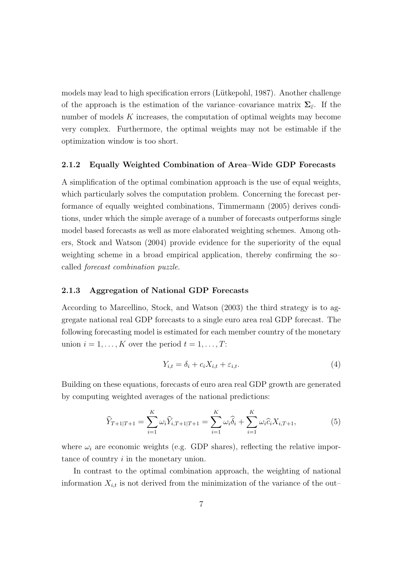models may lead to high specification errors (Lütkepohl, 1987). Another challenge of the approach is the estimation of the variance–covariance matrix  $\Sigma_{\varepsilon}$ . If the number of models  $K$  increases, the computation of optimal weights may become very complex. Furthermore, the optimal weights may not be estimable if the optimization window is too short.

#### 2.1.2 Equally Weighted Combination of Area–Wide GDP Forecasts

A simplification of the optimal combination approach is the use of equal weights, which particularly solves the computation problem. Concerning the forecast performance of equally weighted combinations, Timmermann (2005) derives conditions, under which the simple average of a number of forecasts outperforms single model based forecasts as well as more elaborated weighting schemes. Among others, Stock and Watson (2004) provide evidence for the superiority of the equal weighting scheme in a broad empirical application, thereby confirming the so– called forecast combination puzzle.

#### 2.1.3 Aggregation of National GDP Forecasts

According to Marcellino, Stock, and Watson (2003) the third strategy is to aggregate national real GDP forecasts to a single euro area real GDP forecast. The following forecasting model is estimated for each member country of the monetary union  $i = 1, \ldots, K$  over the period  $t = 1, \ldots, T$ :

$$
Y_{i,t} = \delta_i + c_i X_{i,t} + \varepsilon_{i,t}.\tag{4}
$$

Building on these equations, forecasts of euro area real GDP growth are generated by computing weighted averages of the national predictions:

$$
\widehat{Y}_{T+1|T+1} = \sum_{i=1}^{K} \omega_i \widehat{Y}_{i,T+1|T+1} = \sum_{i=1}^{K} \omega_i \widehat{\delta}_i + \sum_{i=1}^{K} \omega_i \widehat{c}_i X_{i,T+1},
$$
\n(5)

where  $\omega_i$  are economic weights (e.g. GDP shares), reflecting the relative importance of country i in the monetary union.

In contrast to the optimal combination approach, the weighting of national information  $X_{i,t}$  is not derived from the minimization of the variance of the out–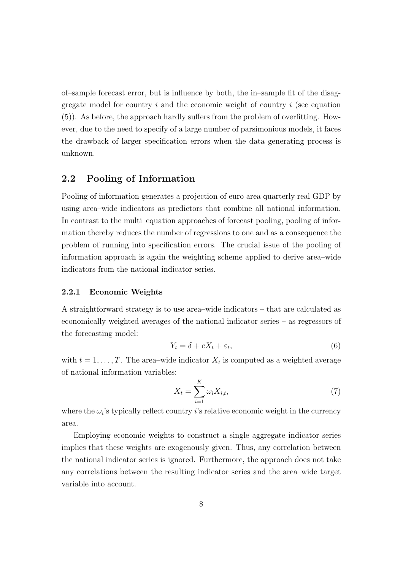of–sample forecast error, but is influence by both, the in–sample fit of the disaggregate model for country i and the economic weight of country i (see equation (5)). As before, the approach hardly suffers from the problem of overfitting. However, due to the need to specify of a large number of parsimonious models, it faces the drawback of larger specification errors when the data generating process is unknown.

### 2.2 Pooling of Information

Pooling of information generates a projection of euro area quarterly real GDP by using area–wide indicators as predictors that combine all national information. In contrast to the multi–equation approaches of forecast pooling, pooling of information thereby reduces the number of regressions to one and as a consequence the problem of running into specification errors. The crucial issue of the pooling of information approach is again the weighting scheme applied to derive area–wide indicators from the national indicator series.

#### 2.2.1 Economic Weights

A straightforward strategy is to use area–wide indicators – that are calculated as economically weighted averages of the national indicator series – as regressors of the forecasting model:

$$
Y_t = \delta + cX_t + \varepsilon_t,\tag{6}
$$

with  $t = 1, \ldots, T$ . The area-wide indicator  $X_t$  is computed as a weighted average of national information variables:

$$
X_t = \sum_{i=1}^K \omega_i X_{i,t},\tag{7}
$$

where the  $\omega_i$ 's typically reflect country i's relative economic weight in the currency area.

Employing economic weights to construct a single aggregate indicator series implies that these weights are exogenously given. Thus, any correlation between the national indicator series is ignored. Furthermore, the approach does not take any correlations between the resulting indicator series and the area–wide target variable into account.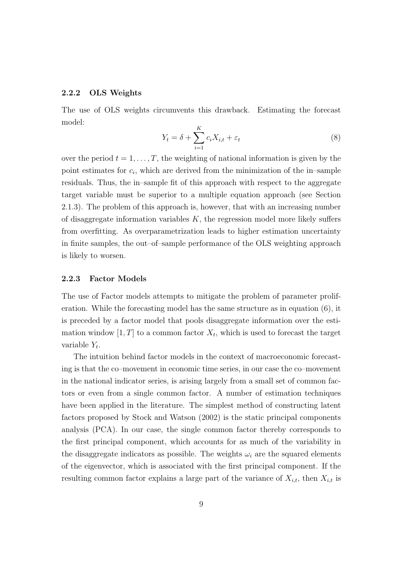#### 2.2.2 OLS Weights

The use of OLS weights circumvents this drawback. Estimating the forecast model:

$$
Y_t = \delta + \sum_{i=1}^{K} c_i X_{i,t} + \varepsilon_t \tag{8}
$$

over the period  $t = 1, \ldots, T$ , the weighting of national information is given by the point estimates for  $c_i$ , which are derived from the minimization of the in-sample residuals. Thus, the in–sample fit of this approach with respect to the aggregate target variable must be superior to a multiple equation approach (see Section 2.1.3). The problem of this approach is, however, that with an increasing number of disaggregate information variables  $K$ , the regression model more likely suffers from overfitting. As overparametrization leads to higher estimation uncertainty in finite samples, the out–of–sample performance of the OLS weighting approach is likely to worsen.

#### 2.2.3 Factor Models

The use of Factor models attempts to mitigate the problem of parameter proliferation. While the forecasting model has the same structure as in equation (6), it is preceded by a factor model that pools disaggregate information over the estimation window  $[1, T]$  to a common factor  $X_t$ , which is used to forecast the target variable  $Y_t$ .

The intuition behind factor models in the context of macroeconomic forecasting is that the co–movement in economic time series, in our case the co–movement in the national indicator series, is arising largely from a small set of common factors or even from a single common factor. A number of estimation techniques have been applied in the literature. The simplest method of constructing latent factors proposed by Stock and Watson (2002) is the static principal components analysis (PCA). In our case, the single common factor thereby corresponds to the first principal component, which accounts for as much of the variability in the disaggregate indicators as possible. The weights  $\omega_i$  are the squared elements of the eigenvector, which is associated with the first principal component. If the resulting common factor explains a large part of the variance of  $X_{i,t}$ , then  $X_{i,t}$  is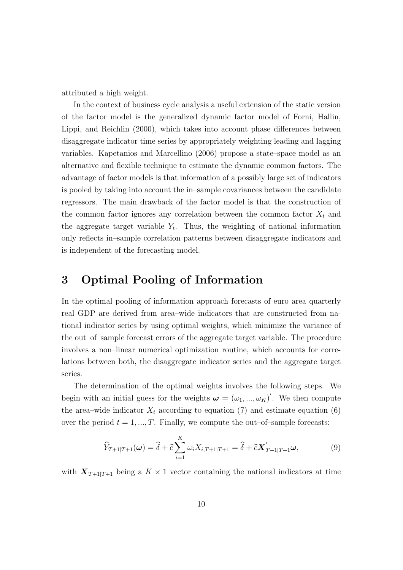attributed a high weight.

In the context of business cycle analysis a useful extension of the static version of the factor model is the generalized dynamic factor model of Forni, Hallin, Lippi, and Reichlin (2000), which takes into account phase differences between disaggregate indicator time series by appropriately weighting leading and lagging variables. Kapetanios and Marcellino (2006) propose a state–space model as an alternative and flexible technique to estimate the dynamic common factors. The advantage of factor models is that information of a possibly large set of indicators is pooled by taking into account the in–sample covariances between the candidate regressors. The main drawback of the factor model is that the construction of the common factor ignores any correlation between the common factor  $X_t$  and the aggregate target variable  $Y_t$ . Thus, the weighting of national information only reflects in–sample correlation patterns between disaggregate indicators and is independent of the forecasting model.

# 3 Optimal Pooling of Information

In the optimal pooling of information approach forecasts of euro area quarterly real GDP are derived from area–wide indicators that are constructed from national indicator series by using optimal weights, which minimize the variance of the out–of–sample forecast errors of the aggregate target variable. The procedure involves a non–linear numerical optimization routine, which accounts for correlations between both, the disaggregate indicator series and the aggregate target series.

The determination of the optimal weights involves the following steps. We begin with an initial guess for the weights  $\boldsymbol{\omega} = (\omega_1, ..., \omega_K)'$ . We then compute the area–wide indicator  $X_t$  according to equation (7) and estimate equation (6) over the period  $t = 1, ..., T$ . Finally, we compute the out-of-sample forecasts:

$$
\widehat{Y}_{T+1|T+1}(\boldsymbol{\omega}) = \widehat{\delta} + \widehat{c} \sum_{i=1}^{K} \omega_i X_{i,T+1|T+1} = \widehat{\delta} + \widehat{c} \mathbf{X}_{T+1|T+1}' \boldsymbol{\omega},\tag{9}
$$

with  $X_{T+1|T+1}$  being a  $K \times 1$  vector containing the national indicators at time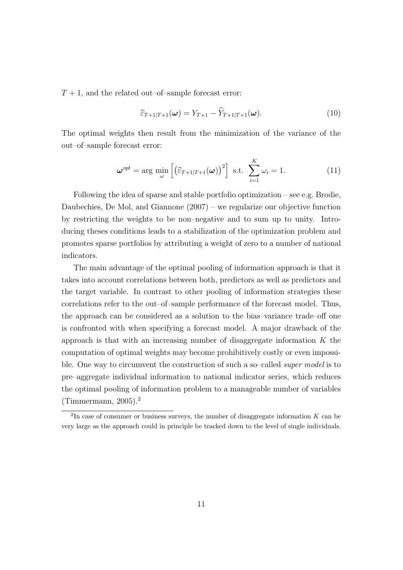$T+1$ , and the related out–of–sample forecast error:

$$
\widehat{\varepsilon}_{T+1|T+1}(\boldsymbol{\omega}) = Y_{T+1} - \widehat{Y}_{T+1|T+1}(\boldsymbol{\omega}). \tag{10}
$$

The optimal weights then result from the minimization of the variance of the out–of–sample forecast error:

$$
\boldsymbol{\omega}^{opt} = \arg \min_{\boldsymbol{\omega}} \left[ \left( \widehat{\varepsilon}_{T+1|T+1}(\boldsymbol{\omega}) \right)^2 \right] \text{ s.t. } \sum_{i=1}^K \omega_i = 1. \tag{11}
$$

Following the idea of sparse and stable portfolio optimization – see e.g. Brodie, Daubechies, De Mol, and Giannone (2007) – we regularize our objective function by restricting the weights to be non–negative and to sum up to unity. Introducing theses conditions leads to a stabilization of the optimization problem and promotes sparse portfolios by attributing a weight of zero to a number of national indicators.

The main advantage of the optimal pooling of information approach is that it takes into account correlations between both, predictors as well as predictors and the target variable. In contrast to other pooling of information strategies these correlations refer to the out–of–sample performance of the forecast model. Thus, the approach can be considered as a solution to the bias–variance trade–off one is confronted with when specifying a forecast model. A major drawback of the approach is that with an increasing number of disaggregate information  $K$  the computation of optimal weights may become prohibitively costly or even impossible. One way to circumvent the construction of such a so-called *super model* is to pre–aggregate individual information to national indicator series, which reduces the optimal pooling of information problem to a manageable number of variables (Timmermann, 2005).<sup>2</sup>

<sup>&</sup>lt;sup>2</sup>In case of consumer or business surveys, the number of disaggregate information  $K$  can be very large as the approach could in principle be tracked down to the level of single individuals.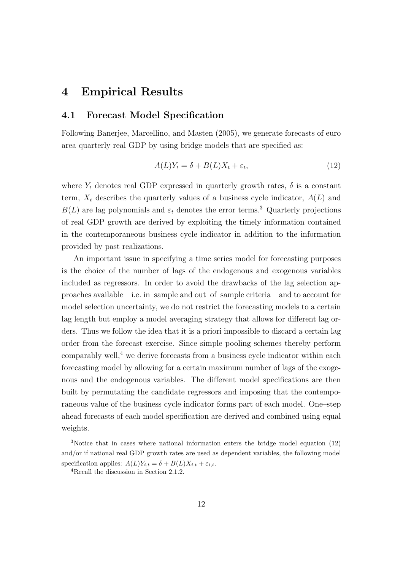# 4 Empirical Results

### 4.1 Forecast Model Specification

Following Banerjee, Marcellino, and Masten (2005), we generate forecasts of euro area quarterly real GDP by using bridge models that are specified as:

$$
A(L)Y_t = \delta + B(L)X_t + \varepsilon_t, \tag{12}
$$

where  $Y_t$  denotes real GDP expressed in quarterly growth rates,  $\delta$  is a constant term,  $X_t$  describes the quarterly values of a business cycle indicator,  $A(L)$  and  $B(L)$  are lag polynomials and  $\varepsilon_t$  denotes the error terms.<sup>3</sup> Quarterly projections of real GDP growth are derived by exploiting the timely information contained in the contemporaneous business cycle indicator in addition to the information provided by past realizations.

An important issue in specifying a time series model for forecasting purposes is the choice of the number of lags of the endogenous and exogenous variables included as regressors. In order to avoid the drawbacks of the lag selection approaches available – i.e. in–sample and out–of–sample criteria – and to account for model selection uncertainty, we do not restrict the forecasting models to a certain lag length but employ a model averaging strategy that allows for different lag orders. Thus we follow the idea that it is a priori impossible to discard a certain lag order from the forecast exercise. Since simple pooling schemes thereby perform comparably well, $4$  we derive forecasts from a business cycle indicator within each forecasting model by allowing for a certain maximum number of lags of the exogenous and the endogenous variables. The different model specifications are then built by permutating the candidate regressors and imposing that the contemporaneous value of the business cycle indicator forms part of each model. One–step ahead forecasts of each model specification are derived and combined using equal weights.

<sup>3</sup>Notice that in cases where national information enters the bridge model equation (12) and/or if national real GDP growth rates are used as dependent variables, the following model specification applies:  $A(L)Y_{i,t} = \delta + B(L)X_{i,t} + \varepsilon_{i,t}$ .

<sup>4</sup>Recall the discussion in Section 2.1.2.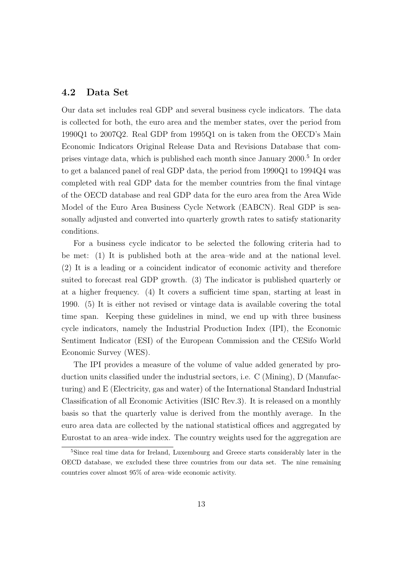### 4.2 Data Set

Our data set includes real GDP and several business cycle indicators. The data is collected for both, the euro area and the member states, over the period from 1990Q1 to 2007Q2. Real GDP from 1995Q1 on is taken from the OECD's Main Economic Indicators Original Release Data and Revisions Database that comprises vintage data, which is published each month since January 2000.<sup>5</sup> In order to get a balanced panel of real GDP data, the period from 1990Q1 to 1994Q4 was completed with real GDP data for the member countries from the final vintage of the OECD database and real GDP data for the euro area from the Area Wide Model of the Euro Area Business Cycle Network (EABCN). Real GDP is seasonally adjusted and converted into quarterly growth rates to satisfy stationarity conditions.

For a business cycle indicator to be selected the following criteria had to be met: (1) It is published both at the area–wide and at the national level. (2) It is a leading or a coincident indicator of economic activity and therefore suited to forecast real GDP growth. (3) The indicator is published quarterly or at a higher frequency. (4) It covers a sufficient time span, starting at least in 1990. (5) It is either not revised or vintage data is available covering the total time span. Keeping these guidelines in mind, we end up with three business cycle indicators, namely the Industrial Production Index (IPI), the Economic Sentiment Indicator (ESI) of the European Commission and the CESifo World Economic Survey (WES).

The IPI provides a measure of the volume of value added generated by production units classified under the industrial sectors, i.e. C (Mining), D (Manufacturing) and E (Electricity, gas and water) of the International Standard Industrial Classification of all Economic Activities (ISIC Rev.3). It is released on a monthly basis so that the quarterly value is derived from the monthly average. In the euro area data are collected by the national statistical offices and aggregated by Eurostat to an area–wide index. The country weights used for the aggregation are

<sup>&</sup>lt;sup>5</sup>Since real time data for Ireland, Luxembourg and Greece starts considerably later in the OECD database, we excluded these three countries from our data set. The nine remaining countries cover almost 95% of area–wide economic activity.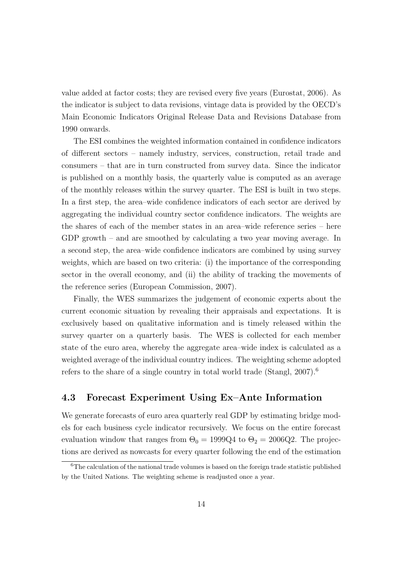value added at factor costs; they are revised every five years (Eurostat, 2006). As the indicator is subject to data revisions, vintage data is provided by the OECD's Main Economic Indicators Original Release Data and Revisions Database from 1990 onwards.

The ESI combines the weighted information contained in confidence indicators of different sectors – namely industry, services, construction, retail trade and consumers – that are in turn constructed from survey data. Since the indicator is published on a monthly basis, the quarterly value is computed as an average of the monthly releases within the survey quarter. The ESI is built in two steps. In a first step, the area–wide confidence indicators of each sector are derived by aggregating the individual country sector confidence indicators. The weights are the shares of each of the member states in an area–wide reference series – here GDP growth – and are smoothed by calculating a two year moving average. In a second step, the area–wide confidence indicators are combined by using survey weights, which are based on two criteria: (i) the importance of the corresponding sector in the overall economy, and (ii) the ability of tracking the movements of the reference series (European Commission, 2007).

Finally, the WES summarizes the judgement of economic experts about the current economic situation by revealing their appraisals and expectations. It is exclusively based on qualitative information and is timely released within the survey quarter on a quarterly basis. The WES is collected for each member state of the euro area, whereby the aggregate area–wide index is calculated as a weighted average of the individual country indices. The weighting scheme adopted refers to the share of a single country in total world trade (Stangl,  $2007$ ).<sup>6</sup>

### 4.3 Forecast Experiment Using Ex–Ante Information

We generate forecasts of euro area quarterly real GDP by estimating bridge models for each business cycle indicator recursively. We focus on the entire forecast evaluation window that ranges from  $\Theta_0 = 1999Q4$  to  $\Theta_2 = 2006Q2$ . The projections are derived as nowcasts for every quarter following the end of the estimation

<sup>&</sup>lt;sup>6</sup>The calculation of the national trade volumes is based on the foreign trade statistic published by the United Nations. The weighting scheme is readjusted once a year.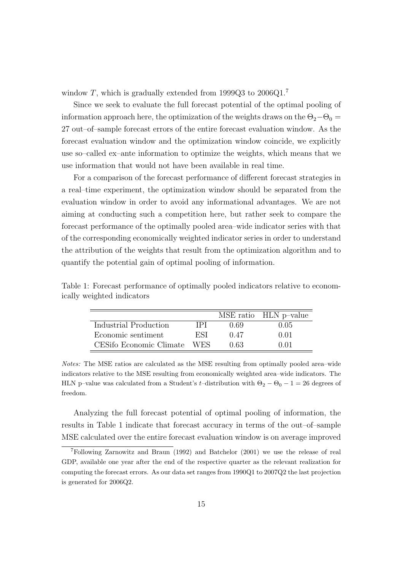window T, which is gradually extended from 1999Q3 to  $2006Q1$ <sup>7</sup>

Since we seek to evaluate the full forecast potential of the optimal pooling of information approach here, the optimization of the weights draws on the  $\Theta_2-\Theta_0=$ 27 out–of–sample forecast errors of the entire forecast evaluation window. As the forecast evaluation window and the optimization window coincide, we explicitly use so–called ex–ante information to optimize the weights, which means that we use information that would not have been available in real time.

For a comparison of the forecast performance of different forecast strategies in a real–time experiment, the optimization window should be separated from the evaluation window in order to avoid any informational advantages. We are not aiming at conducting such a competition here, but rather seek to compare the forecast performance of the optimally pooled area–wide indicator series with that of the corresponding economically weighted indicator series in order to understand the attribution of the weights that result from the optimization algorithm and to quantify the potential gain of optimal pooling of information.

|                         |     |      | MSE ratio HLN p-value |
|-------------------------|-----|------|-----------------------|
| Industrial Production   | IPI | በ 69 | 0.05                  |
| Economic sentiment      | ESI | 0.47 | 0.01                  |
| CESifo Economic Climate | WES | 0.63 | 0.01                  |

Table 1: Forecast performance of optimally pooled indicators relative to economically weighted indicators

Notes: The MSE ratios are calculated as the MSE resulting from optimally pooled area–wide indicators relative to the MSE resulting from economically weighted area–wide indicators. The HLN p–value was calculated from a Student's t–distribution with  $\Theta_2 - \Theta_0 - 1 = 26$  degrees of freedom.

Analyzing the full forecast potential of optimal pooling of information, the results in Table 1 indicate that forecast accuracy in terms of the out–of–sample MSE calculated over the entire forecast evaluation window is on average improved

<sup>7</sup>Following Zarnowitz and Braun (1992) and Batchelor (2001) we use the release of real GDP, available one year after the end of the respective quarter as the relevant realization for computing the forecast errors. As our data set ranges from 1990Q1 to 2007Q2 the last projection is generated for 2006Q2.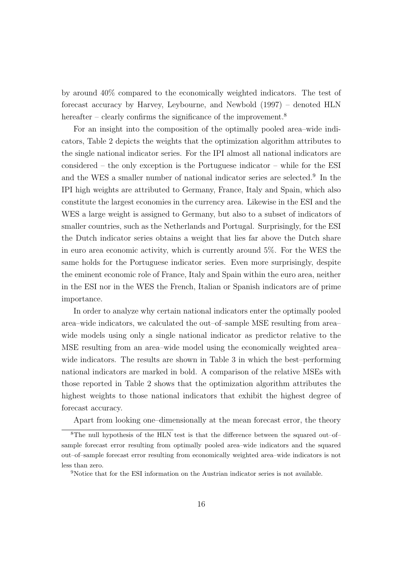by around 40% compared to the economically weighted indicators. The test of forecast accuracy by Harvey, Leybourne, and Newbold (1997) – denoted HLN hereafter – clearly confirms the significance of the improvement.<sup>8</sup>

For an insight into the composition of the optimally pooled area–wide indicators, Table 2 depicts the weights that the optimization algorithm attributes to the single national indicator series. For the IPI almost all national indicators are considered – the only exception is the Portuguese indicator – while for the ESI and the WES a smaller number of national indicator series are selected.<sup>9</sup> In the IPI high weights are attributed to Germany, France, Italy and Spain, which also constitute the largest economies in the currency area. Likewise in the ESI and the WES a large weight is assigned to Germany, but also to a subset of indicators of smaller countries, such as the Netherlands and Portugal. Surprisingly, for the ESI the Dutch indicator series obtains a weight that lies far above the Dutch share in euro area economic activity, which is currently around 5%. For the WES the same holds for the Portuguese indicator series. Even more surprisingly, despite the eminent economic role of France, Italy and Spain within the euro area, neither in the ESI nor in the WES the French, Italian or Spanish indicators are of prime importance.

In order to analyze why certain national indicators enter the optimally pooled area–wide indicators, we calculated the out–of–sample MSE resulting from area– wide models using only a single national indicator as predictor relative to the MSE resulting from an area–wide model using the economically weighted area– wide indicators. The results are shown in Table 3 in which the best–performing national indicators are marked in bold. A comparison of the relative MSEs with those reported in Table 2 shows that the optimization algorithm attributes the highest weights to those national indicators that exhibit the highest degree of forecast accuracy.

Apart from looking one–dimensionally at the mean forecast error, the theory

<sup>8</sup>The null hypothesis of the HLN test is that the difference between the squared out–of– sample forecast error resulting from optimally pooled area–wide indicators and the squared out–of–sample forecast error resulting from economically weighted area–wide indicators is not less than zero.

<sup>&</sup>lt;sup>9</sup>Notice that for the ESI information on the Austrian indicator series is not available.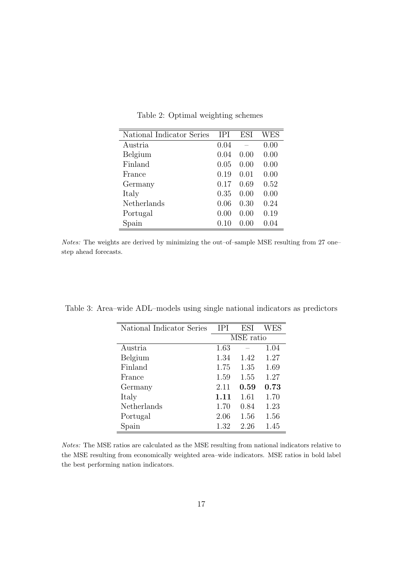| National Indicator Series | <b>IPI</b> | <b>ESI</b> | WES  |
|---------------------------|------------|------------|------|
| Austria                   | 0.04       |            | 0.00 |
| Belgium                   | 0.04       | 0.00       | 0.00 |
| Finland                   | 0.05       | 0.00       | 0.00 |
| France                    | 0.19       | 0.01       | 0.00 |
| Germany                   | 0.17       | 0.69       | 0.52 |
| Italy                     | 0.35       | 0.00       | 0.00 |
| Netherlands               | 0.06       | 0.30       | 0.24 |
| Portugal                  | 0.00       | 0.00       | 0.19 |
| Spain                     | 0.10       | 0.00       | 0.04 |

Table 2: Optimal weighting schemes

Notes: The weights are derived by minimizing the out–of–sample MSE resulting from 27 one– step ahead forecasts.

| IPI       | ESI  | WES  |
|-----------|------|------|
| MSE ratio |      |      |
| 1.63      |      | 1.04 |
| 1.34      | 1.42 | 1.27 |
| 1.75      | 1.35 | 1.69 |
| 1.59      | 1.55 | 1.27 |
| 2.11      | 0.59 | 0.73 |
| 1.11      | 1.61 | 1.70 |
| 1.70      | 0.84 | 1.23 |
| 2.06      | 1.56 | 1.56 |
| 1.32      | 2.26 | 1.45 |
|           |      |      |

Table 3: Area–wide ADL–models using single national indicators as predictors

Notes: The MSE ratios are calculated as the MSE resulting from national indicators relative to the MSE resulting from economically weighted area–wide indicators. MSE ratios in bold label the best performing nation indicators.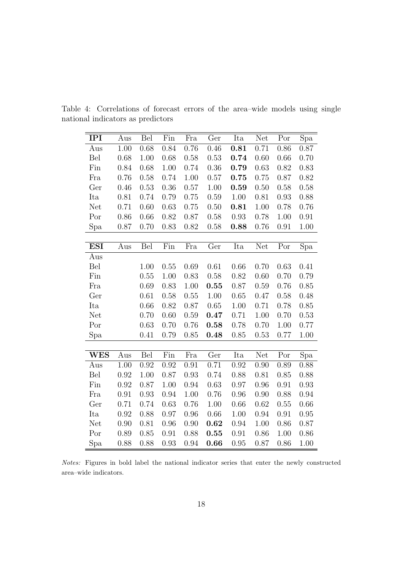| <b>IPI</b> | Aus  | Bel  | Fin      | Fra  | Ger  | Ita        | <b>Net</b> | Por  | Spa  |
|------------|------|------|----------|------|------|------------|------------|------|------|
| Aus        | 1.00 | 0.68 | 0.84     | 0.76 | 0.46 | $\,0.81\,$ | 0.71       | 0.86 | 0.87 |
| Bel        | 0.68 | 1.00 | 0.68     | 0.58 | 0.53 | 0.74       | 0.60       | 0.66 | 0.70 |
| Fin        | 0.84 | 0.68 | $1.00\,$ | 0.74 | 0.36 | 0.79       | 0.63       | 0.82 | 0.83 |
| Fra        | 0.76 | 0.58 | 0.74     | 1.00 | 0.57 | 0.75       | 0.75       | 0.87 | 0.82 |
| Ger        | 0.46 | 0.53 | 0.36     | 0.57 | 1.00 | 0.59       | 0.50       | 0.58 | 0.58 |
| Ita        | 0.81 | 0.74 | 0.79     | 0.75 | 0.59 | $1.00\,$   | 0.81       | 0.93 | 0.88 |
| Net        | 0.71 | 0.60 | 0.63     | 0.75 | 0.50 | 0.81       | 1.00       | 0.78 | 0.76 |
| Por        | 0.86 | 0.66 | 0.82     | 0.87 | 0.58 | 0.93       | 0.78       | 1.00 | 0.91 |
| Spa        | 0.87 | 0.70 | 0.83     | 0.82 | 0.58 | 0.88       | 0.76       | 0.91 | 1.00 |
|            |      |      |          |      |      |            |            |      |      |
| <b>ESI</b> | Aus  | Bel  | Fin      | Fra  | Ger  | Ita        | Net        | Por  | Spa  |
| Aus        |      |      |          |      |      |            |            |      |      |
| Bel        |      | 1.00 | 0.55     | 0.69 | 0.61 | 0.66       | 0.70       | 0.63 | 0.41 |
| Fin        |      | 0.55 | 1.00     | 0.83 | 0.58 | 0.82       | 0.60       | 0.70 | 0.79 |
| Fra        |      | 0.69 | 0.83     | 1.00 | 0.55 | 0.87       | 0.59       | 0.76 | 0.85 |
| Ger        |      | 0.61 | 0.58     | 0.55 | 1.00 | 0.65       | 0.47       | 0.58 | 0.48 |
| Ita        |      | 0.66 | 0.82     | 0.87 | 0.65 | 1.00       | 0.71       | 0.78 | 0.85 |
| Net        |      | 0.70 | 0.60     | 0.59 | 0.47 | 0.71       | 1.00       | 0.70 | 0.53 |
| Por        |      | 0.63 | 0.70     | 0.76 | 0.58 | 0.78       | 0.70       | 1.00 | 0.77 |
| Spa        |      | 0.41 | 0.79     | 0.85 | 0.48 | 0.85       | 0.53       | 0.77 | 1.00 |
|            |      |      |          |      |      |            |            |      |      |
| <b>WES</b> | Aus  | Bel  | Fin      | Fra  | Ger  | Ita        | Net        | Por  | Spa  |
| Aus        | 1.00 | 0.92 | 0.92     | 0.91 | 0.71 | 0.92       | 0.90       | 0.89 | 0.88 |
| Bel        | 0.92 | 1.00 | 0.87     | 0.93 | 0.74 | 0.88       | 0.81       | 0.85 | 0.88 |
| Fin        | 0.92 | 0.87 | 1.00     | 0.94 | 0.63 | 0.97       | 0.96       | 0.91 | 0.93 |
| Fra        | 0.91 | 0.93 | 0.94     | 1.00 | 0.76 | 0.96       | 0.90       | 0.88 | 0.94 |
| Ger        | 0.71 | 0.74 | 0.63     | 0.76 | 1.00 | 0.66       | 0.62       | 0.55 | 0.66 |
| Ita        | 0.92 | 0.88 | 0.97     | 0.96 | 0.66 | 1.00       | 0.94       | 0.91 | 0.95 |
| Net        | 0.90 | 0.81 | 0.96     | 0.90 | 0.62 | 0.94       | 1.00       | 0.86 | 0.87 |
| Por        | 0.89 | 0.85 | 0.91     | 0.88 | 0.55 | 0.91       | 0.86       | 1.00 | 0.86 |
| Spa        | 0.88 | 0.88 | 0.93     | 0.94 | 0.66 | 0.95       | 0.87       | 0.86 | 1.00 |

Table 4: Correlations of forecast errors of the area–wide models using single national indicators as predictors

Notes: Figures in bold label the national indicator series that enter the newly constructed area–wide indicators.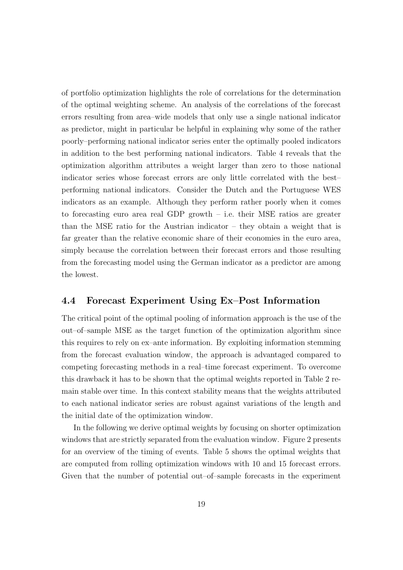of portfolio optimization highlights the role of correlations for the determination of the optimal weighting scheme. An analysis of the correlations of the forecast errors resulting from area–wide models that only use a single national indicator as predictor, might in particular be helpful in explaining why some of the rather poorly–performing national indicator series enter the optimally pooled indicators in addition to the best performing national indicators. Table 4 reveals that the optimization algorithm attributes a weight larger than zero to those national indicator series whose forecast errors are only little correlated with the best– performing national indicators. Consider the Dutch and the Portuguese WES indicators as an example. Although they perform rather poorly when it comes to forecasting euro area real GDP growth – i.e. their MSE ratios are greater than the MSE ratio for the Austrian indicator – they obtain a weight that is far greater than the relative economic share of their economies in the euro area, simply because the correlation between their forecast errors and those resulting from the forecasting model using the German indicator as a predictor are among the lowest.

### 4.4 Forecast Experiment Using Ex–Post Information

The critical point of the optimal pooling of information approach is the use of the out–of–sample MSE as the target function of the optimization algorithm since this requires to rely on ex–ante information. By exploiting information stemming from the forecast evaluation window, the approach is advantaged compared to competing forecasting methods in a real–time forecast experiment. To overcome this drawback it has to be shown that the optimal weights reported in Table 2 remain stable over time. In this context stability means that the weights attributed to each national indicator series are robust against variations of the length and the initial date of the optimization window.

In the following we derive optimal weights by focusing on shorter optimization windows that are strictly separated from the evaluation window. Figure 2 presents for an overview of the timing of events. Table 5 shows the optimal weights that are computed from rolling optimization windows with 10 and 15 forecast errors. Given that the number of potential out–of–sample forecasts in the experiment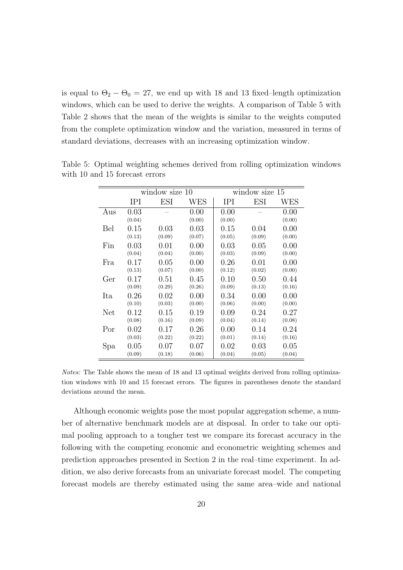is equal to  $\Theta_2 - \Theta_0 = 27$ , we end up with 18 and 13 fixed–length optimization windows, which can be used to derive the weights. A comparison of Table 5 with Table 2 shows that the mean of the weights is similar to the weights computed from the complete optimization window and the variation, measured in terms of standard deviations, decreases with an increasing optimization window.

|     | window size 10 |            |                | window size 15 |        |                |  |
|-----|----------------|------------|----------------|----------------|--------|----------------|--|
|     | IPI            | <b>ESI</b> | WES            | IPI            | ESI    | WES            |  |
| Aus | 0.03<br>(0.04) |            | 0.00<br>(0.00) | 0.00<br>(0.00) |        | 0.00<br>(0.00) |  |
| Bel | 0.15           | 0.03       | 0.03           | 0.15           | 0.04   | 0.00           |  |
|     | (0.13)         | (0.09)     | (0.07)         | (0.05)         | (0.09) | (0.00)         |  |
| Fin | 0.03           | 0.01       | 0.00           | 0.03           | 0.05   | 0.00           |  |
|     | (0.04)         | (0.04)     | (0.00)         | (0.03)         | (0.09) | (0.00)         |  |
| Fra | 0.17           | 0.05       | 0.00           | 0.26           | 0.01   | 0.00           |  |
|     | (0.13)         | (0.07)     | (0.00)         | (0.12)         | (0.02) | (0.00)         |  |
| Ger | 0.17           | 0.51       | 0.45           | 0.10           | 0.50   | 0.44           |  |
|     | (0.09)         | (0.29)     | (0.26)         | (0.09)         | (0.13) | (0.16)         |  |
| Ita | 0.26           | 0.02       | 0.00           | 0.34           | 0.00   | 0.00           |  |
| Net | (0.10)         | (0.03)     | (0.00)         | (0.06)         | (0.00) | (0.00)         |  |
|     | $0.12\,$       | 0.15       | 0.19           | 0.09           | 0.24   | 0.27           |  |
| Por | (0.08)         | (0.16)     | (0.09)         | (0.04)         | (0.14) | (0.08)         |  |
|     | 0.02           | 0.17       | 0.26           | 0.00           | 0.14   | 0.24           |  |
| Spa | (0.03)         | (0.22)     | (0.22)         | (0.01)         | (0.14) | (0.16)         |  |
|     | 0.05           | 0.07       | 0.07           | 0.02           | 0.03   | 0.05           |  |
|     | (0.09)         | (0.18)     | (0.06)         | (0.04)         | (0.05) | (0.04)         |  |

Table 5: Optimal weighting schemes derived from rolling optimization windows with 10 and 15 forecast errors

Notes: The Table shows the mean of 18 and 13 optimal weights derived from rolling optimization windows with 10 and 15 forecast errors. The figures in parentheses denote the standard deviations around the mean.

Although economic weights pose the most popular aggregation scheme, a number of alternative benchmark models are at disposal. In order to take our optimal pooling approach to a tougher test we compare its forecast accuracy in the following with the competing economic and econometric weighting schemes and prediction approaches presented in Section 2 in the real–time experiment. In addition, we also derive forecasts from an univariate forecast model. The competing forecast models are thereby estimated using the same area–wide and national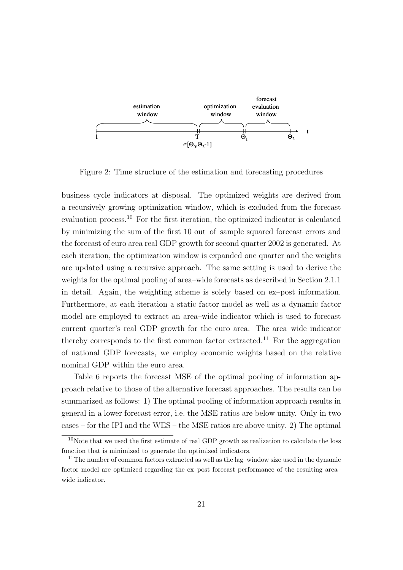

Figure 2: Time structure of the estimation and forecasting procedures

business cycle indicators at disposal. The optimized weights are derived from a recursively growing optimization window, which is excluded from the forecast evaluation process.<sup>10</sup> For the first iteration, the optimized indicator is calculated by minimizing the sum of the first 10 out–of–sample squared forecast errors and the forecast of euro area real GDP growth for second quarter 2002 is generated. At each iteration, the optimization window is expanded one quarter and the weights are updated using a recursive approach. The same setting is used to derive the weights for the optimal pooling of area–wide forecasts as described in Section 2.1.1 in detail. Again, the weighting scheme is solely based on ex–post information. Furthermore, at each iteration a static factor model as well as a dynamic factor model are employed to extract an area–wide indicator which is used to forecast current quarter's real GDP growth for the euro area. The area–wide indicator thereby corresponds to the first common factor extracted.<sup>11</sup> For the aggregation of national GDP forecasts, we employ economic weights based on the relative nominal GDP within the euro area.

Table 6 reports the forecast MSE of the optimal pooling of information approach relative to those of the alternative forecast approaches. The results can be summarized as follows: 1) The optimal pooling of information approach results in general in a lower forecast error, i.e. the MSE ratios are below unity. Only in two cases – for the IPI and the WES – the MSE ratios are above unity. 2) The optimal

 $10$ Note that we used the first estimate of real GDP growth as realization to calculate the loss function that is minimized to generate the optimized indicators.

<sup>&</sup>lt;sup>11</sup>The number of common factors extracted as well as the lag-window size used in the dynamic factor model are optimized regarding the ex–post forecast performance of the resulting area– wide indicator.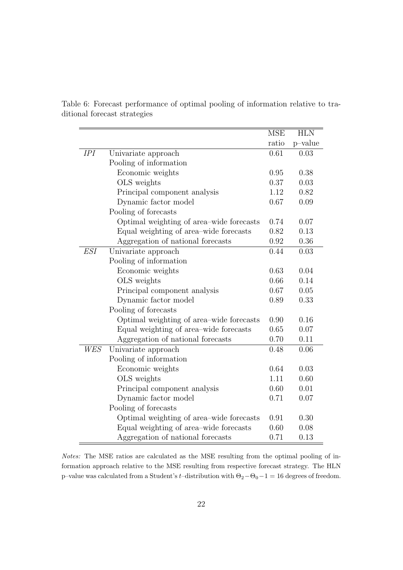|     |                                          | <b>MSE</b> | <b>HLN</b> |
|-----|------------------------------------------|------------|------------|
|     |                                          | ratio      | p-value    |
| IPI | Univariate approach                      | 0.61       | 0.03       |
|     | Pooling of information                   |            |            |
|     | Economic weights                         | 0.95       | 0.38       |
|     | OLS weights                              | 0.37       | 0.03       |
|     | Principal component analysis             | 1.12       | 0.82       |
|     | Dynamic factor model                     | 0.67       | 0.09       |
|     | Pooling of forecasts                     |            |            |
|     | Optimal weighting of area–wide forecasts | 0.74       | 0.07       |
|     | Equal weighting of area–wide forecasts   | 0.82       | 0.13       |
|     | Aggregation of national forecasts        | 0.92       | 0.36       |
| ESI | Univariate approach                      | 0.44       | 0.03       |
|     | Pooling of information                   |            |            |
|     | Economic weights                         | 0.63       | 0.04       |
|     | OLS weights                              | 0.66       | 0.14       |
|     | Principal component analysis             | 0.67       | 0.05       |
|     | Dynamic factor model                     | 0.89       | 0.33       |
|     | Pooling of forecasts                     |            |            |
|     | Optimal weighting of area-wide forecasts | 0.90       | 0.16       |
|     | Equal weighting of area–wide forecasts   | 0.65       | 0.07       |
|     | Aggregation of national forecasts        | 0.70       | 0.11       |
| WES | Univariate approach                      | 0.48       | 0.06       |
|     | Pooling of information                   |            |            |
|     | Economic weights                         | 0.64       | 0.03       |
|     | OLS weights                              | 1.11       | 0.60       |
|     | Principal component analysis             | 0.60       | 0.01       |
|     | Dynamic factor model                     | 0.71       | 0.07       |
|     | Pooling of forecasts                     |            |            |
|     | Optimal weighting of area-wide forecasts | 0.91       | 0.30       |
|     | Equal weighting of area–wide forecasts   | 0.60       | 0.08       |
|     | Aggregation of national forecasts        | 0.71       | 0.13       |

Table 6: Forecast performance of optimal pooling of information relative to traditional forecast strategies

Notes: The MSE ratios are calculated as the MSE resulting from the optimal pooling of information approach relative to the MSE resulting from respective forecast strategy. The HLN p–value was calculated from a Student's *t*–distribution with  $\Theta_2-\Theta_0-1=16$  degrees of freedom.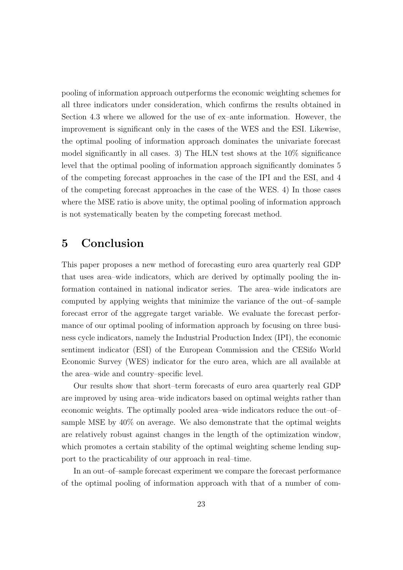pooling of information approach outperforms the economic weighting schemes for all three indicators under consideration, which confirms the results obtained in Section 4.3 where we allowed for the use of ex–ante information. However, the improvement is significant only in the cases of the WES and the ESI. Likewise, the optimal pooling of information approach dominates the univariate forecast model significantly in all cases. 3) The HLN test shows at the 10% significance level that the optimal pooling of information approach significantly dominates 5 of the competing forecast approaches in the case of the IPI and the ESI, and 4 of the competing forecast approaches in the case of the WES. 4) In those cases where the MSE ratio is above unity, the optimal pooling of information approach is not systematically beaten by the competing forecast method.

# 5 Conclusion

This paper proposes a new method of forecasting euro area quarterly real GDP that uses area–wide indicators, which are derived by optimally pooling the information contained in national indicator series. The area–wide indicators are computed by applying weights that minimize the variance of the out–of–sample forecast error of the aggregate target variable. We evaluate the forecast performance of our optimal pooling of information approach by focusing on three business cycle indicators, namely the Industrial Production Index (IPI), the economic sentiment indicator (ESI) of the European Commission and the CESifo World Economic Survey (WES) indicator for the euro area, which are all available at the area–wide and country–specific level.

Our results show that short–term forecasts of euro area quarterly real GDP are improved by using area–wide indicators based on optimal weights rather than economic weights. The optimally pooled area–wide indicators reduce the out–of– sample MSE by 40% on average. We also demonstrate that the optimal weights are relatively robust against changes in the length of the optimization window, which promotes a certain stability of the optimal weighting scheme lending support to the practicability of our approach in real–time.

In an out–of–sample forecast experiment we compare the forecast performance of the optimal pooling of information approach with that of a number of com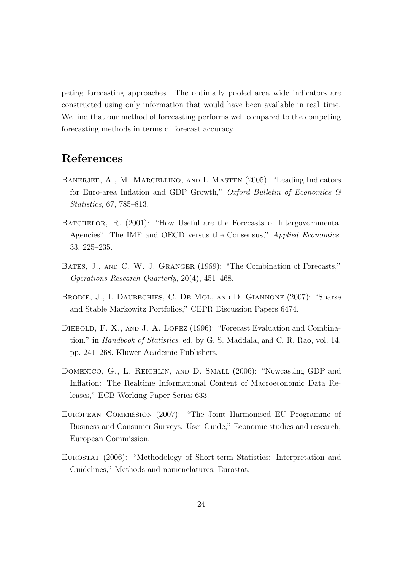peting forecasting approaches. The optimally pooled area–wide indicators are constructed using only information that would have been available in real–time. We find that our method of forecasting performs well compared to the competing forecasting methods in terms of forecast accuracy.

# References

- Banerjee, A., M. Marcellino, and I. Masten (2005): "Leading Indicators for Euro-area Inflation and GDP Growth," Oxford Bulletin of Economics  $\mathcal{C}$ Statistics, 67, 785–813.
- BATCHELOR, R. (2001): "How Useful are the Forecasts of Intergovernmental Agencies? The IMF and OECD versus the Consensus," Applied Economics, 33, 225–235.
- BATES, J., AND C. W. J. GRANGER (1969): "The Combination of Forecasts," Operations Research Quarterly, 20(4), 451–468.
- Brodie, J., I. Daubechies, C. De Mol, and D. Giannone (2007): "Sparse and Stable Markowitz Portfolios," CEPR Discussion Papers 6474.
- DIEBOLD, F. X., AND J. A. LOPEZ (1996): "Forecast Evaluation and Combination," in Handbook of Statistics, ed. by G. S. Maddala, and C. R. Rao, vol. 14, pp. 241–268. Kluwer Academic Publishers.
- DOMENICO, G., L. REICHLIN, AND D. SMALL (2006): "Nowcasting GDP and Inflation: The Realtime Informational Content of Macroeconomic Data Releases," ECB Working Paper Series 633.
- European Commission (2007): "The Joint Harmonised EU Programme of Business and Consumer Surveys: User Guide," Economic studies and research, European Commission.
- EUROSTAT (2006): "Methodology of Short-term Statistics: Interpretation and Guidelines," Methods and nomenclatures, Eurostat.